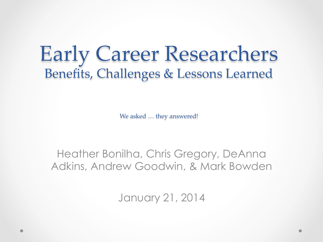## Early Career Researchers Benefits, Challenges & Lessons Learned

We asked ... they answered!

## Heather Bonilha, Chris Gregory, DeAnna Adkins, Andrew Goodwin, & Mark Bowden

January 21, 2014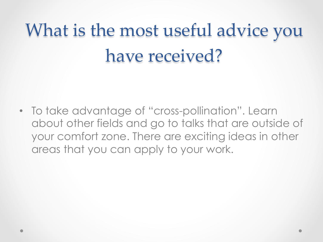## What is the most useful advice you have received?

• To take advantage of "cross-pollination". Learn about other fields and go to talks that are outside of your comfort zone. There are exciting ideas in other areas that you can apply to your work.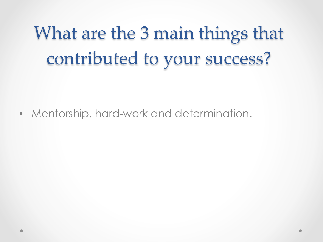What are the 3 main things that contributed to your success? 

• Mentorship, hard-work and determination.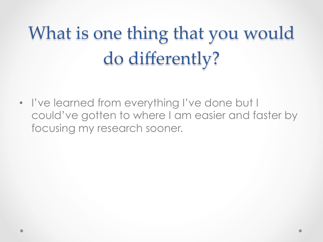## What is one thing that you would do differently?

• I've learned from everything I've done but I could've gotten to where I am easier and faster by focusing my research sooner.